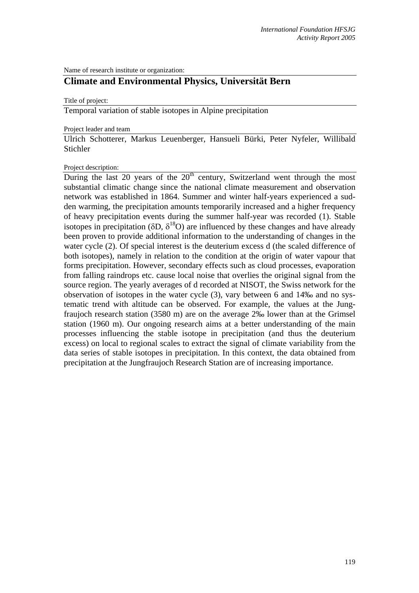Name of research institute or organization:

## **Climate and Environmental Physics, Universität Bern**

Title of project:

Temporal variation of stable isotopes in Alpine precipitation

Project leader and team

Ulrich Schotterer, Markus Leuenberger, Hansueli Bürki, Peter Nyfeler, Willibald Stichler

Project description:

During the last 20 years of the  $20<sup>th</sup>$  century, Switzerland went through the most substantial climatic change since the national climate measurement and observation network was established in 1864. Summer and winter half-years experienced a sudden warming, the precipitation amounts temporarily increased and a higher frequency of heavy precipitation events during the summer half-year was recorded (1). Stable isotopes in precipitation ( $\delta D$ ,  $\delta^{18}O$ ) are influenced by these changes and have already been proven to provide additional information to the understanding of changes in the water cycle (2). Of special interest is the deuterium excess d (the scaled difference of both isotopes), namely in relation to the condition at the origin of water vapour that forms precipitation. However, secondary effects such as cloud processes, evaporation from falling raindrops etc. cause local noise that overlies the original signal from the source region. The yearly averages of d recorded at NISOT, the Swiss network for the observation of isotopes in the water cycle (3), vary between 6 and 14‰ and no systematic trend with altitude can be observed. For example, the values at the Jungfraujoch research station (3580 m) are on the average 2‰ lower than at the Grimsel station (1960 m). Our ongoing research aims at a better understanding of the main processes influencing the stable isotope in precipitation (and thus the deuterium excess) on local to regional scales to extract the signal of climate variability from the data series of stable isotopes in precipitation. In this context, the data obtained from precipitation at the Jungfraujoch Research Station are of increasing importance.